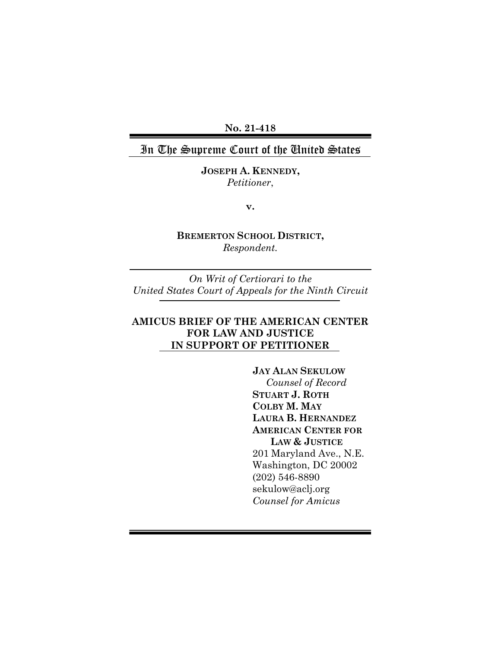**No. 21-418**

### In The Supreme Court of the United States

**JOSEPH A. KENNEDY,** *Petitioner*,

**v.**

**BREMERTON SCHOOL DISTRICT,** *Respondent.*

*On Writ of Certiorari to the United States Court of Appeals for the Ninth Circuit*

### **AMICUS BRIEF OF THE AMERICAN CENTER FOR LAW AND JUSTICE IN SUPPORT OF PETITIONER**

**JAY ALAN SEKULOW** *Counsel of Record* **STUART J. ROTH COLBY M. MAY LAURA B. HERNANDEZ AMERICAN CENTER FOR LAW & JUSTICE** 201 Maryland Ave., N.E. Washington, DC 20002 (202) 546-8890 sekulow@aclj.org *Counsel for Amicus*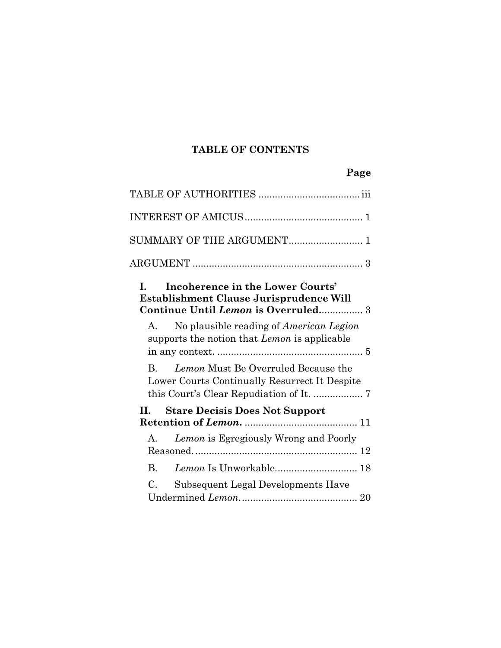## **TABLE OF CONTENTS**

### **Page**

| SUMMARY OF THE ARGUMENT                                                                                                 | $\mathbf{1}$ |
|-------------------------------------------------------------------------------------------------------------------------|--------------|
|                                                                                                                         |              |
| Incoherence in the Lower Courts'<br>L<br>Establishment Clause Jurisprudence Will<br>Continue Until Lemon is Overruled 3 |              |
| No plausible reading of <i>American Legion</i><br>$A_{-}$<br>supports the notion that <i>Lemon</i> is applicable        |              |
| Lemon Must Be Overruled Because the<br>$\bf{B}$<br>Lower Courts Continually Resurrect It Despite                        |              |
| <b>Stare Decisis Does Not Support</b><br>H.                                                                             |              |
| Lemon is Egregiously Wrong and Poorly<br>$A_{-}$                                                                        |              |
| Lemon Is Unworkable 18<br>В.                                                                                            |              |
| Subsequent Legal Developments Have<br>C.                                                                                |              |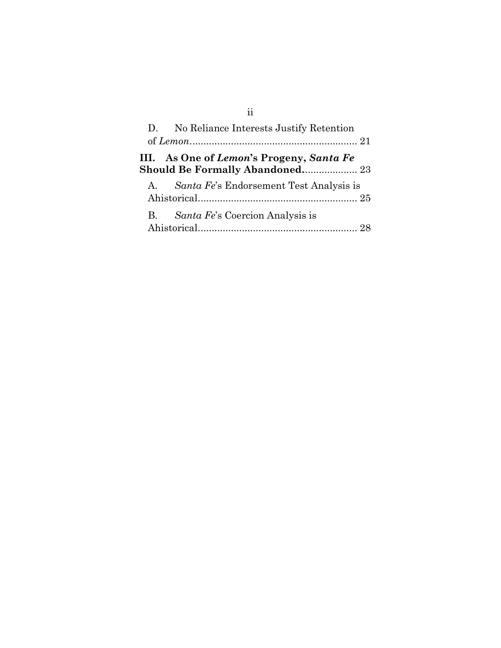|              | D. No Reliance Interests Justify Retention                                         |  |
|--------------|------------------------------------------------------------------------------------|--|
|              |                                                                                    |  |
|              | III. As One of Lemon's Progeny, Santa Fe<br><b>Should Be Formally Abandoned 23</b> |  |
| $\mathbf{A}$ | <i>Santa Fe's</i> Endorsement Test Analysis is                                     |  |
| B.           | <i>Santa Fe's</i> Coercion Analysis is                                             |  |

# ii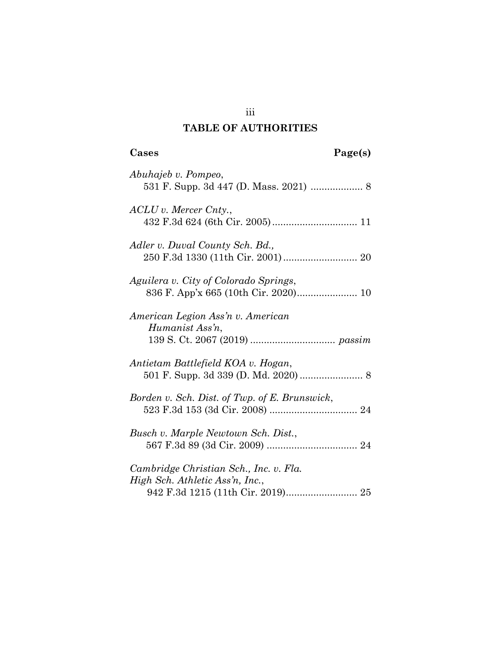### **TABLE OF AUTHORITIES**

# <span id="page-3-0"></span>**Cases Page(s)**

| Abuhajeb v. Pompeo,                                                        |
|----------------------------------------------------------------------------|
| $ACLU$ v. Mercer Cnty.,                                                    |
| Adler v. Duval County Sch. Bd.,                                            |
| Aguilera v. City of Colorado Springs,                                      |
| American Legion Ass'n v. American<br>Humanist Ass'n,                       |
| Antietam Battlefield KOA v. Hogan,<br>501 F. Supp. 3d 339 (D. Md. 2020)  8 |
| Borden v. Sch. Dist. of Twp. of E. Brunswick,                              |
| Busch v. Marple Newtown Sch. Dist.,                                        |
| Cambridge Christian Sch., Inc. v. Fla.<br>High Sch. Athletic Ass'n, Inc.,  |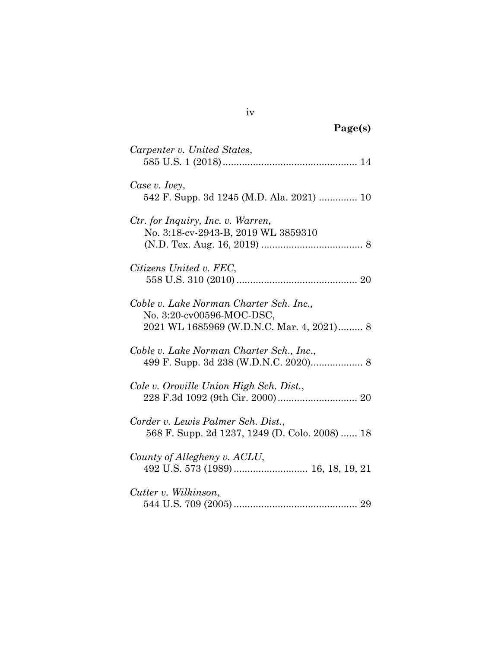| Carpenter v. United States,                                                                                       |
|-------------------------------------------------------------------------------------------------------------------|
| Case v. Ivey,<br>542 F. Supp. 3d 1245 (M.D. Ala. 2021)  10                                                        |
| Ctr. for Inquiry, Inc. v. Warren,<br>No. 3:18-cv-2943-B, 2019 WL 3859310                                          |
| Citizens United v. FEC,                                                                                           |
| Coble v. Lake Norman Charter Sch. Inc.,<br>No. 3:20-cv00596-MOC-DSC,<br>2021 WL 1685969 (W.D.N.C. Mar. 4, 2021) 8 |
| Coble v. Lake Norman Charter Sch., Inc.,                                                                          |
| Cole v. Oroville Union High Sch. Dist.,                                                                           |
| Corder v. Lewis Palmer Sch. Dist.,<br>568 F. Supp. 2d 1237, 1249 (D. Colo. 2008)  18                              |
| County of Allegheny v. ACLU,                                                                                      |
| Cutter v. Wilkinson,                                                                                              |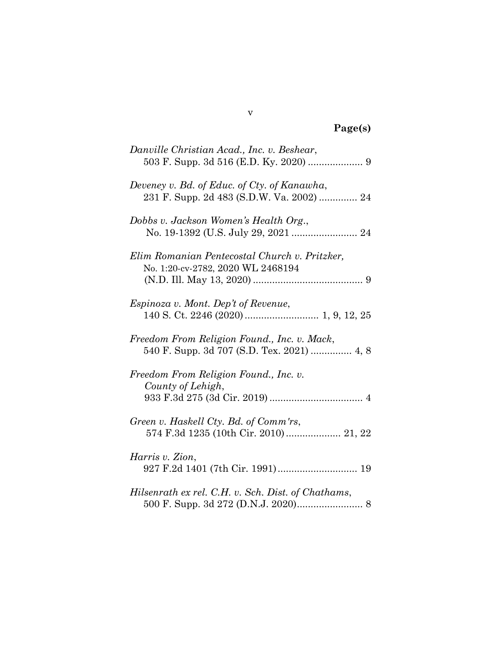| Danville Christian Acad., Inc. v. Beshear,                                                |
|-------------------------------------------------------------------------------------------|
| Deveney v. Bd. of Educ. of Cty. of Kanawha,<br>231 F. Supp. 2d 483 (S.D.W. Va. 2002)  24  |
| Dobbs v. Jackson Women's Health Org.,                                                     |
| Elim Romanian Pentecostal Church v. Pritzker,<br>No. 1:20-cv-2782, 2020 WL 2468194        |
| Espinoza v. Mont. Dep't of Revenue,                                                       |
| Freedom From Religion Found., Inc. v. Mack,<br>540 F. Supp. 3d 707 (S.D. Tex. 2021)  4, 8 |
| Freedom From Religion Found., Inc. v.<br>County of Lehigh,                                |
| Green v. Haskell Cty. Bd. of Comm'rs,<br>574 F.3d 1235 (10th Cir. 2010) 21, 22            |
| Harris v. Zion,                                                                           |
| Hilsenrath ex rel. C.H. v. Sch. Dist. of Chathams,                                        |

## v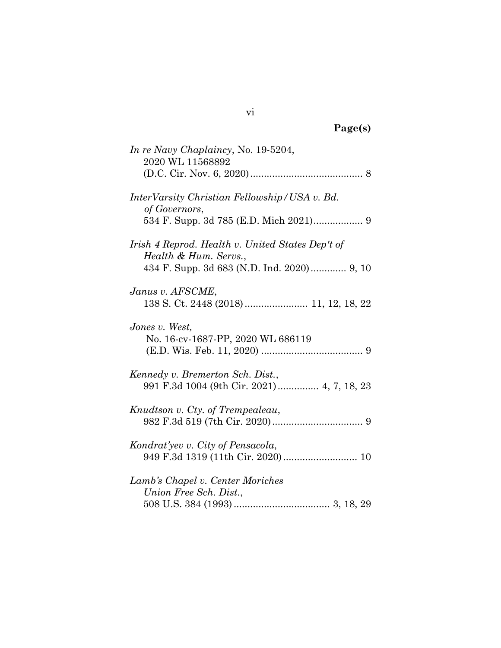| In re Navy Chaplaincy, No. 19-5204,<br>2020 WL 11568892                                                                 |
|-------------------------------------------------------------------------------------------------------------------------|
| InterVarsity Christian Fellowship/USA v. Bd.<br>of Governors,<br>534 F. Supp. 3d 785 (E.D. Mich 2021) 9                 |
| Irish 4 Reprod. Health v. United States Dep't of<br>Health & Hum. Servs.,<br>434 F. Supp. 3d 683 (N.D. Ind. 2020) 9, 10 |
| Janus v. AFSCME,                                                                                                        |
| Jones v. West,<br>No. 16-cv-1687-PP, 2020 WL 686119                                                                     |
| Kennedy v. Bremerton Sch. Dist.,<br>991 F.3d 1004 (9th Cir. 2021)  4, 7, 18, 23                                         |
| Knudtson v. Cty. of Trempealeau,                                                                                        |
| Kondrat'yev v. City of Pensacola,<br>949 F.3d 1319 (11th Cir. 2020) 10                                                  |
| Lamb's Chapel v. Center Moriches<br>Union Free Sch. Dist.,                                                              |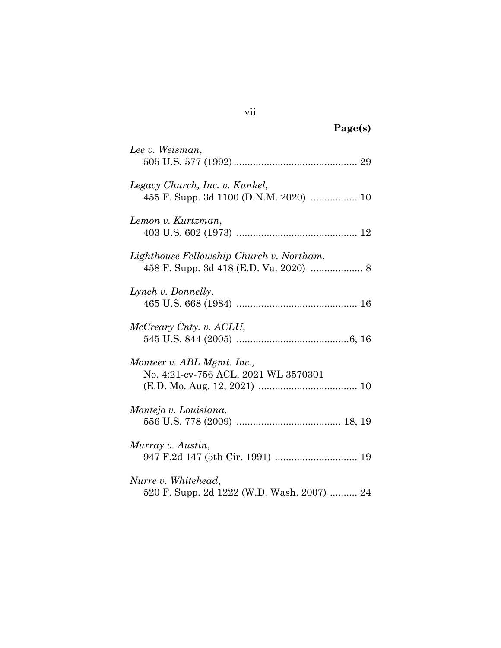| Lee v. Weisman,                            |
|--------------------------------------------|
|                                            |
| Legacy Church, Inc. v. Kunkel,             |
|                                            |
| Lemon v. Kurtzman,                         |
|                                            |
| Lighthouse Fellowship Church v. Northam,   |
|                                            |
| Lynch v. Donnelly,                         |
|                                            |
| McCreary Cnty. v. ACLU,                    |
|                                            |
| Monteer v. ABL Mgmt. Inc.,                 |
| No. 4:21-cv-756 ACL, 2021 WL 3570301       |
|                                            |
| Montejo v. Louisiana,                      |
|                                            |
| Murray v. Austin,                          |
|                                            |
| Nurre v. Whitehead,                        |
| 520 F. Supp. 2d 1222 (W.D. Wash. 2007)  24 |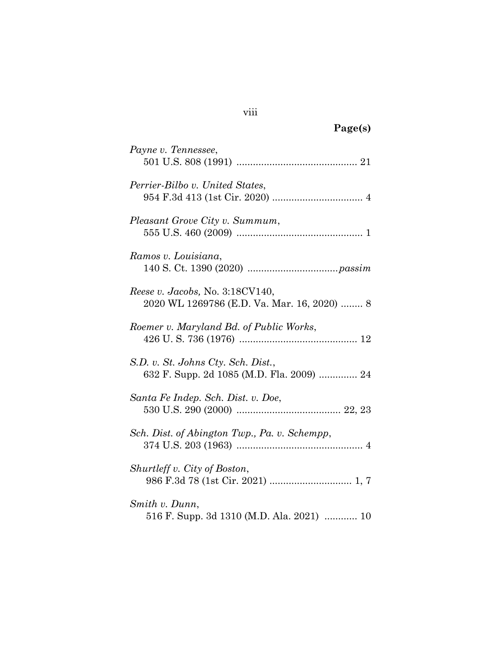| Payne v. Tennessee,                                                                   |
|---------------------------------------------------------------------------------------|
| Perrier-Bilbo v. United States,                                                       |
| Pleasant Grove City v. Summum,                                                        |
| Ramos v. Louisiana,                                                                   |
| <i>Reese v. Jacobs, No.</i> 3:18CV140,<br>2020 WL 1269786 (E.D. Va. Mar. 16, 2020)  8 |
| Roemer v. Maryland Bd. of Public Works,                                               |
| S.D. v. St. Johns Cty. Sch. Dist.,<br>632 F. Supp. 2d 1085 (M.D. Fla. 2009)  24       |
| Santa Fe Indep. Sch. Dist. v. Doe,                                                    |
| Sch. Dist. of Abington Twp., Pa. v. Schempp,                                          |
| Shurtleff v. City of Boston,                                                          |
| Smith v. Dunn,<br>516 F. Supp. 3d 1310 (M.D. Ala. 2021)  10                           |

### viii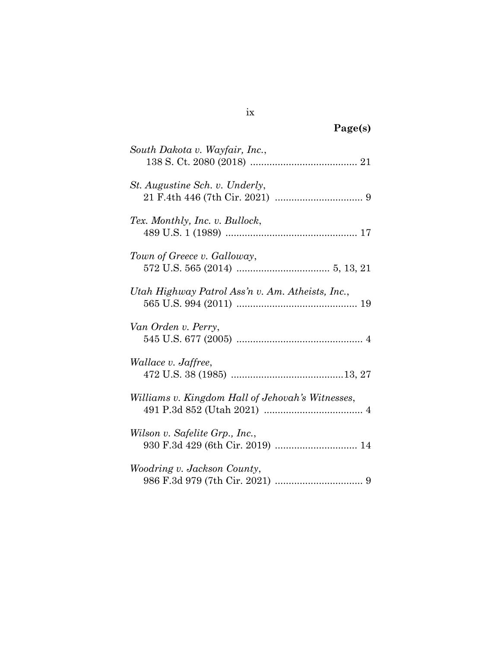| South Dakota v. Wayfair, Inc.,                   |
|--------------------------------------------------|
| <i>St. Augustine Sch. v. Underly,</i>            |
| Tex. Monthly, Inc. v. Bullock,                   |
| Town of Greece v. Galloway,                      |
| Utah Highway Patrol Ass'n v. Am. Atheists, Inc., |
| Van Orden v. Perry,                              |
| <i>Wallace v. Jaffree,</i>                       |
| Williams v. Kingdom Hall of Jehovah's Witnesses, |
| Wilson v. Safelite Grp., Inc.,                   |
| <i>Woodring v. Jackson County,</i>               |
|                                                  |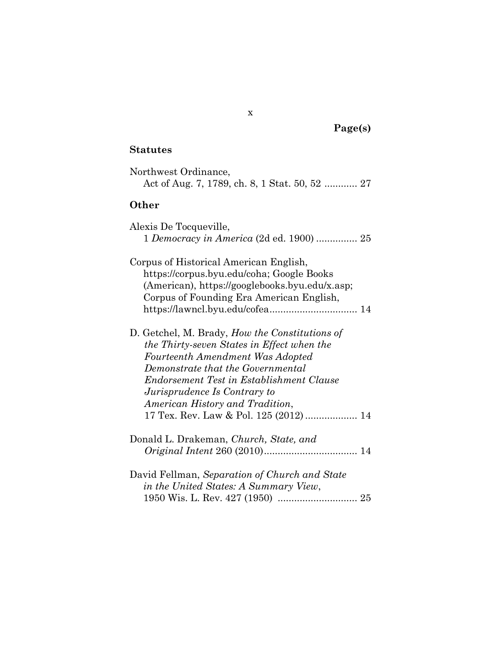### **Statutes**

| Northwest Ordinance,<br>Act of Aug. 7, 1789, ch. 8, 1 Stat. 50, 52  27                                                                                                                                                                                                                                                               |
|--------------------------------------------------------------------------------------------------------------------------------------------------------------------------------------------------------------------------------------------------------------------------------------------------------------------------------------|
| Other                                                                                                                                                                                                                                                                                                                                |
| Alexis De Tocqueville,<br>1 Democracy in America (2d ed. 1900)  25                                                                                                                                                                                                                                                                   |
| Corpus of Historical American English,<br>https://corpus.byu.edu/coha; Google Books<br>(American), https://googlebooks.byu.edu/x.asp;<br>Corpus of Founding Era American English,<br>https://lawncl.byu.edu/cofea 14                                                                                                                 |
| D. Getchel, M. Brady, <i>How the Constitutions of</i><br>the Thirty-seven States in Effect when the<br>Fourteenth Amendment Was Adopted<br>Demonstrate that the Governmental<br>Endorsement Test in Establishment Clause<br>Jurisprudence Is Contrary to<br>American History and Tradition,<br>17 Tex. Rev. Law & Pol. 125 (2012) 14 |
| Donald L. Drakeman, Church, State, and                                                                                                                                                                                                                                                                                               |
| David Fellman, Separation of Church and State<br>in the United States: A Summary View,                                                                                                                                                                                                                                               |

x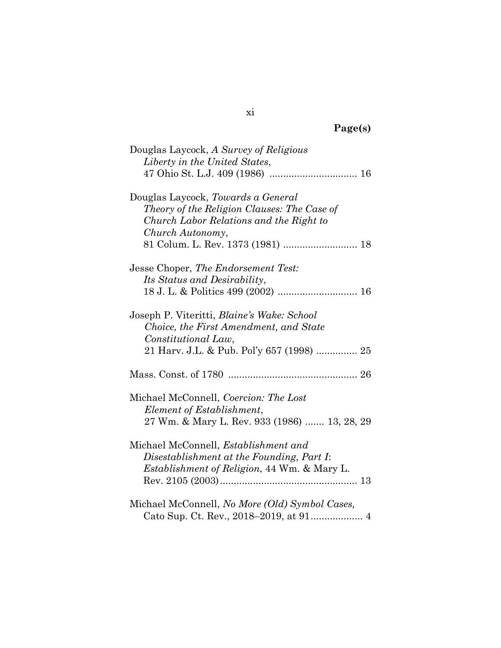| rger<br>c<br>۰.<br>$\sim$ |
|---------------------------|
|---------------------------|

| Douglas Laycock, A Survey of Religious            |
|---------------------------------------------------|
| Liberty in the United States,                     |
|                                                   |
| Douglas Laycock, Towards a General                |
| Theory of the Religion Clauses: The Case of       |
| Church Labor Relations and the Right to           |
| Church Autonomy,                                  |
| 81 Colum. L. Rev. 1373 (1981)  18                 |
| Jesse Choper, The Endorsement Test:               |
| Its Status and Desirability,                      |
|                                                   |
| Joseph P. Viteritti, <i>Blaine's Wake: School</i> |
| Choice, the First Amendment, and State            |
| Constitutional Law,                               |
| 21 Harv. J.L. & Pub. Pol'y 657 (1998)  25         |
|                                                   |
| Michael McConnell, Coercion: The Lost             |
| Element of Establishment,                         |
| 27 Wm. & Mary L. Rev. 933 (1986)  13, 28, 29      |
| Michael McConnell, <i>Establishment</i> and       |
| Disestablishment at the Founding, Part I:         |
| Establishment of Religion, 44 Wm. & Mary L.       |
|                                                   |
| Michael McConnell, No More (Old) Symbol Cases,    |
| Cato Sup. Ct. Rev., 2018-2019, at 91 4            |

xi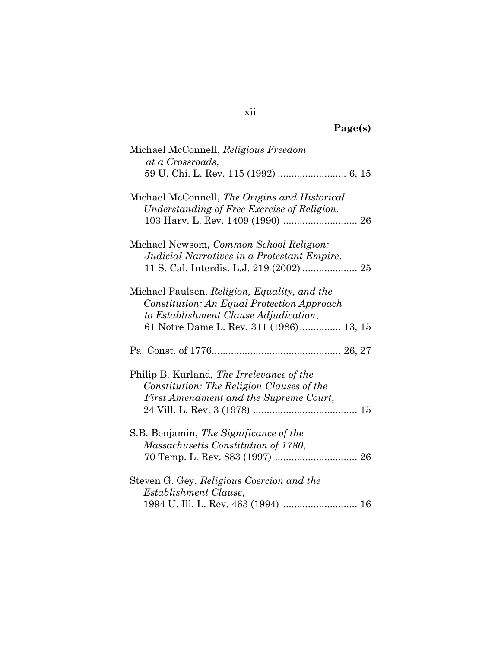| Michael McConnell, Religious Freedom<br>at a Crossroads,                                                                                                                       |
|--------------------------------------------------------------------------------------------------------------------------------------------------------------------------------|
|                                                                                                                                                                                |
| Michael McConnell, The Origins and Historical<br>Understanding of Free Exercise of Religion,<br>103 Harv. L. Rev. 1409 (1990)  26                                              |
| Michael Newsom, Common School Religion:<br>Judicial Narratives in a Protestant Empire,                                                                                         |
| Michael Paulsen, Religion, Equality, and the<br>Constitution: An Equal Protection Approach<br>to Establishment Clause Adjudication,<br>61 Notre Dame L. Rev. 311 (1986) 13, 15 |
|                                                                                                                                                                                |
|                                                                                                                                                                                |
| Philip B. Kurland, The Irrelevance of the<br>Constitution: The Religion Clauses of the<br>First Amendment and the Supreme Court,                                               |
| S.B. Benjamin, The Significance of the<br>Massachusetts Constitution of 1780,                                                                                                  |
| Steven G. Gey, Religious Coercion and the<br>Establishment Clause,                                                                                                             |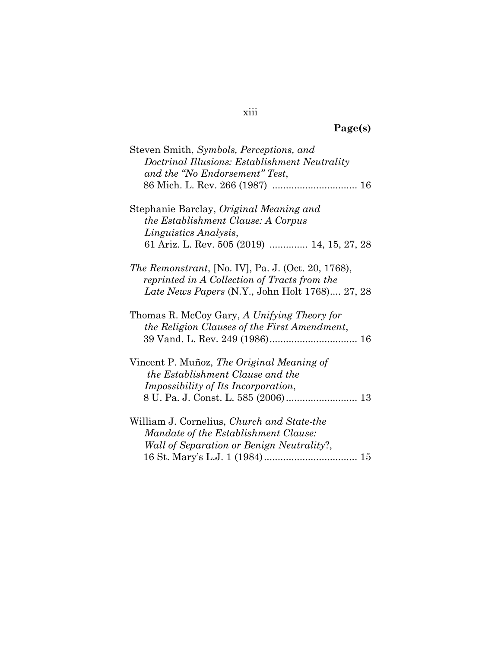| Steven Smith, Symbols, Perceptions, and                    |
|------------------------------------------------------------|
| Doctrinal Illusions: Establishment Neutrality              |
| and the "No Endorsement" Test,                             |
|                                                            |
|                                                            |
|                                                            |
| Stephanie Barclay, Original Meaning and                    |
| the Establishment Clause: A Corpus                         |
| Linguistics Analysis,                                      |
| 61 Ariz. L. Rev. 505 (2019)  14, 15, 27, 28                |
| <i>The Remonstrant</i> , [No. IV], Pa. J. (Oct. 20, 1768), |
|                                                            |
| reprinted in A Collection of Tracts from the               |
| Late News Papers (N.Y., John Holt 1768) 27, 28             |
| Thomas R. McCoy Gary, A Unifying Theory for                |
| the Religion Clauses of the First Amendment,               |
|                                                            |
|                                                            |
| Vincent P. Muñoz, The Original Meaning of                  |
| the Establishment Clause and the                           |
| <i>Impossibility of Its Incorporation,</i>                 |
|                                                            |
|                                                            |
| William J. Cornelius, Church and State-the                 |
| Mandate of the Establishment Clause:                       |
|                                                            |
| Wall of Separation or Benign Neutrality?,                  |
|                                                            |

### xiii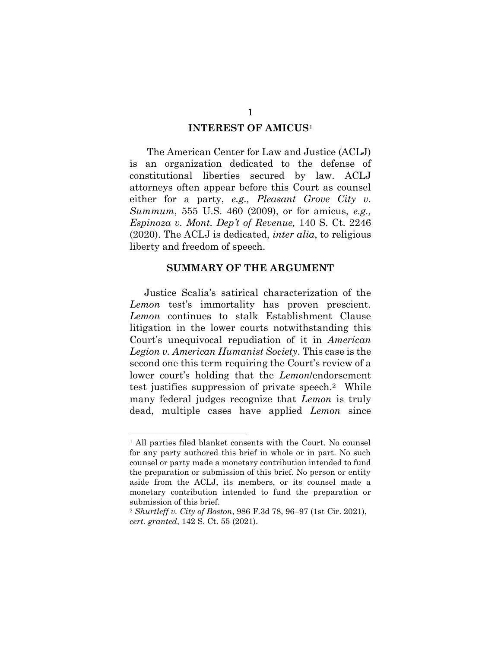#### **INTEREST OF AMICUS**<sup>1</sup>

<span id="page-14-0"></span>The American Center for Law and Justice (ACLJ) is an organization dedicated to the defense of constitutional liberties secured by law. ACLJ attorneys often appear before this Court as counsel either for a party, *e.g., Pleasant Grove City v. Summum*, 555 U.S. 460 (2009), or for amicus, *e.g., Espinoza v. Mont. Dep't of Revenue,* 140 S. Ct. 2246 (2020). The ACLJ is dedicated, *inter alia*, to religious liberty and freedom of speech.

#### **SUMMARY OF THE ARGUMENT**

<span id="page-14-1"></span>Justice Scalia's satirical characterization of the *Lemon* test's immortality has proven prescient. *Lemon* continues to stalk Establishment Clause litigation in the lower courts notwithstanding this Court's unequivocal repudiation of it in *American Legion v. American Humanist Society*. This case is the second one this term requiring the Court's review of a lower court's holding that the *Lemon*/endorsement test justifies suppression of private speech. <sup>2</sup> While many federal judges recognize that *Lemon* is truly dead, multiple cases have applied *Lemon* since

<sup>1</sup> All parties filed blanket consents with the Court. No counsel for any party authored this brief in whole or in part. No such counsel or party made a monetary contribution intended to fund the preparation or submission of this brief. No person or entity aside from the ACLJ, its members, or its counsel made a monetary contribution intended to fund the preparation or submission of this brief.

<sup>2</sup> *Shurtleff v. City of Boston*, 986 F.3d 78, 96–97 (1st Cir. 2021), *cert. granted*, 142 S. Ct. 55 (2021).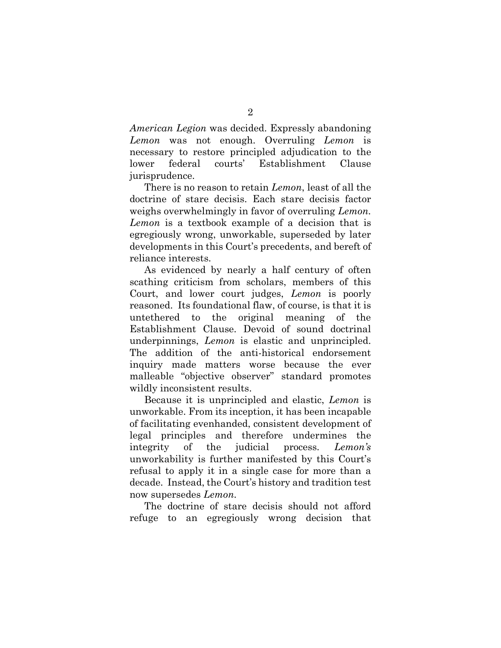*American Legion* was decided. Expressly abandoning *Lemon* was not enough. Overruling *Lemon* is necessary to restore principled adjudication to the lower federal courts' Establishment Clause jurisprudence.

There is no reason to retain *Lemon*, least of all the doctrine of stare decisis. Each stare decisis factor weighs overwhelmingly in favor of overruling *Lemon. Lemon* is a textbook example of a decision that is egregiously wrong, unworkable, superseded by later developments in this Court's precedents, and bereft of reliance interests.

As evidenced by nearly a half century of often scathing criticism from scholars, members of this Court, and lower court judges, *Lemon* is poorly reasoned. Its foundational flaw, of course, is that it is untethered to the original meaning of the Establishment Clause. Devoid of sound doctrinal underpinnings, *Lemon* is elastic and unprincipled. The addition of the anti-historical endorsement inquiry made matters worse because the ever malleable "objective observer" standard promotes wildly inconsistent results.

Because it is unprincipled and elastic, *Lemon* is unworkable. From its inception, it has been incapable of facilitating evenhanded, consistent development of legal principles and therefore undermines the integrity of the judicial process. *Lemon's* unworkability is further manifested by this Court's refusal to apply it in a single case for more than a decade. Instead, the Court's history and tradition test now supersedes *Lemon.* 

The doctrine of stare decisis should not afford refuge to an egregiously wrong decision that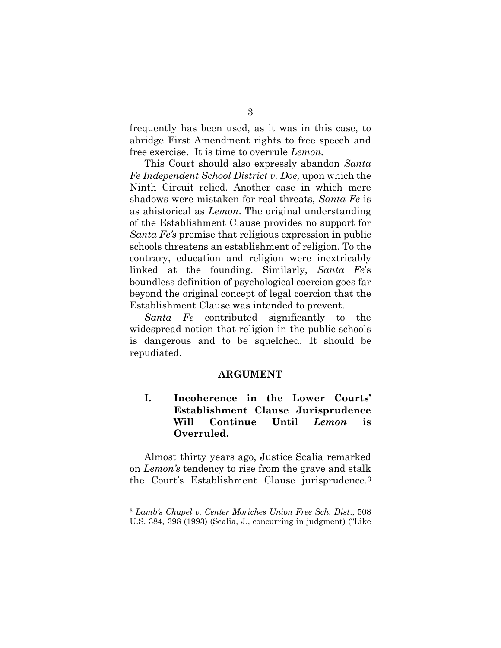frequently has been used, as it was in this case, to abridge First Amendment rights to free speech and free exercise. It is time to overrule *Lemon.*

This Court should also expressly abandon *Santa Fe Independent School District v. Doe,* upon which the Ninth Circuit relied*.* Another case in which mere shadows were mistaken for real threats, *Santa Fe* is as ahistorical as *Lemon*. The original understanding of the Establishment Clause provides no support for *Santa Fe's* premise that religious expression in public schools threatens an establishment of religion. To the contrary, education and religion were inextricably linked at the founding. Similarly, *Santa Fe*'s boundless definition of psychological coercion goes far beyond the original concept of legal coercion that the Establishment Clause was intended to prevent.

*Santa Fe* contributed significantly to the widespread notion that religion in the public schools is dangerous and to be squelched. It should be repudiated.

#### **ARGUMENT**

### <span id="page-16-1"></span><span id="page-16-0"></span>**I. Incoherence in the Lower Courts' Establishment Clause Jurisprudence Will Continue Until** *Lemon* **is Overruled.**

Almost thirty years ago, Justice Scalia remarked on *Lemon's* tendency to rise from the grave and stalk the Court's Establishment Clause jurisprudence.<sup>3</sup>

<sup>3</sup> *Lamb's Chapel v. Center Moriches Union Free Sch. Dist*., 508 U.S. 384, 398 (1993) (Scalia, J., concurring in judgment) ("Like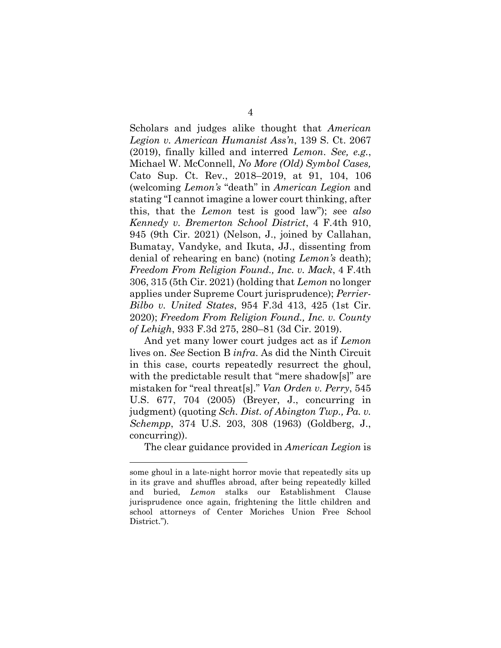Scholars and judges alike thought that *American Legion v. American Humanist Ass'n*, 139 S. Ct. 2067 (2019), finally killed and interred *Lemon*. *See, e.g.*, Michael W. McConnell, *No More (Old) Symbol Cases,*  Cato Sup. Ct. Rev., 2018–2019, at 91, 104, 106 (welcoming *Lemon's* "death" in *American Legion* and stating "I cannot imagine a lower court thinking, after this, that the *Lemon* test is good law"); *s*ee *also Kennedy v. Bremerton School District*, 4 F.4th 910, 945 (9th Cir. 2021) (Nelson, J., joined by Callahan, Bumatay, Vandyke, and Ikuta, JJ., dissenting from denial of rehearing en banc) (noting *Lemon's* death); *Freedom From Religion Found., Inc. v. Mack*, 4 F.4th 306, 315 (5th Cir. 2021) (holding that *Lemon* no longer applies under Supreme Court jurisprudence); *Perrier-Bilbo v. United States*, 954 F.3d 413, 425 (1st Cir. 2020); *Freedom From Religion Found., Inc. v. County of Lehigh*, 933 F.3d 275, 280–81 (3d Cir. 2019).

And yet many lower court judges act as if *Lemon* lives on. *See* Section B *infra*. As did the Ninth Circuit in this case, courts repeatedly resurrect the ghoul, with the predictable result that "mere shadow[s]" are mistaken for "real threat[s]." *Van Orden v. Perry*, 545 U.S. 677, 704 (2005) (Breyer, J., concurring in judgment) (quoting *Sch. Dist. of Abington Twp., Pa. v. Schempp*, 374 U.S. 203, 308 (1963) (Goldberg, J., concurring)).

The clear guidance provided in *American Legion* is

some ghoul in a late-night horror movie that repeatedly sits up in its grave and shuffles abroad, after being repeatedly killed and buried, *Lemon* stalks our Establishment Clause jurisprudence once again, frightening the little children and school attorneys of Center Moriches Union Free School District.").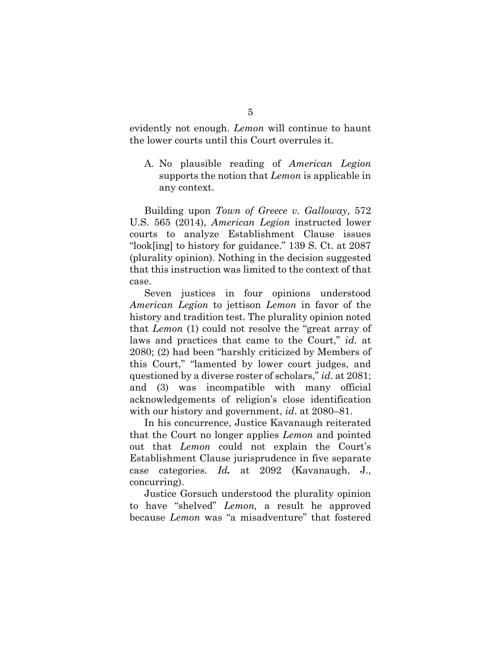evidently not enough. *Lemon* will continue to haunt the lower courts until this Court overrules it.

<span id="page-18-0"></span>A. No plausible reading of *American Legion* supports the notion that *Lemon* is applicable in any context.

Building upon *Town of Greece v. Galloway*, 572 U.S. 565 (2014), *American Legion* instructed lower courts to analyze Establishment Clause issues "look[ing] to history for guidance." 139 S. Ct. at 2087 (plurality opinion). Nothing in the decision suggested that this instruction was limited to the context of that case.

Seven justices in four opinions understood *American Legion* to jettison *Lemon* in favor of the history and tradition test. The plurality opinion noted that *Lemon* (1) could not resolve the "great array of laws and practices that came to the Court," *id.* at 2080; (2) had been "harshly criticized by Members of this Court," "lamented by lower court judges, and questioned by a diverse roster of scholars," *id*. at 2081; and (3) was incompatible with many official acknowledgements of religion's close identification with our history and government, *id*. at 2080–81.

In his concurrence, Justice Kavanaugh reiterated that the Court no longer applies *Lemon* and pointed out that *Lemon* could not explain the Court's Establishment Clause jurisprudence in five separate case categories. *Id.* at 2092 (Kavanaugh, J., concurring).

Justice Gorsuch understood the plurality opinion to have "shelved" *Lemon,* a result he approved because *Lemon* was "a misadventure" that fostered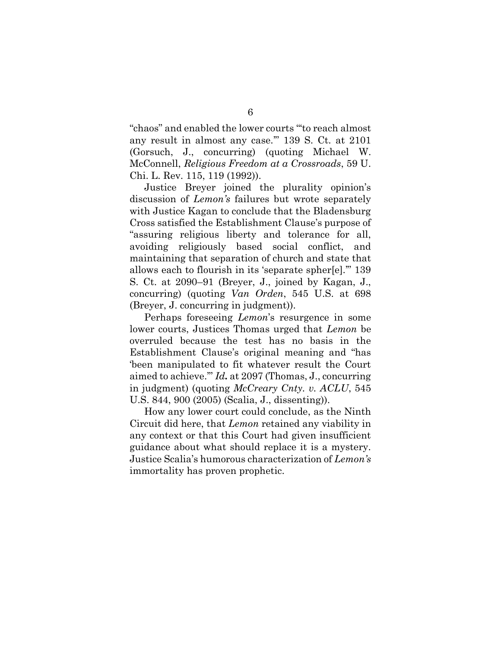"chaos" and enabled the lower courts "'to reach almost any result in almost any case.'" 139 S. Ct. at 2101 (Gorsuch, J., concurring) (quoting Michael W. McConnell, *Religious Freedom at a Crossroads*, 59 U. Chi. L. Rev. 115, 119 (1992)).

Justice Breyer joined the plurality opinion's discussion of *Lemon's* failures but wrote separately with Justice Kagan to conclude that the Bladensburg Cross satisfied the Establishment Clause's purpose of "assuring religious liberty and tolerance for all, avoiding religiously based social conflict, and maintaining that separation of church and state that allows each to flourish in its 'separate spher[e].'" 139 S. Ct. at 2090–91 (Breyer, J., joined by Kagan, J., concurring) (quoting *Van Orden*, 545 U.S. at 698 (Breyer, J. concurring in judgment)).

Perhaps foreseeing *Lemon*'s resurgence in some lower courts, Justices Thomas urged that *Lemon* be overruled because the test has no basis in the Establishment Clause's original meaning and "has 'been manipulated to fit whatever result the Court aimed to achieve.'" *Id.* at 2097 (Thomas, J., concurring in judgment) (quoting *McCreary Cnty. v. ACLU*, 545 U.S. 844, 900 (2005) (Scalia, J., dissenting)).

How any lower court could conclude, as the Ninth Circuit did here, that *Lemon* retained any viability in any context or that this Court had given insufficient guidance about what should replace it is a mystery. Justice Scalia's humorous characterization of *Lemon's* immortality has proven prophetic.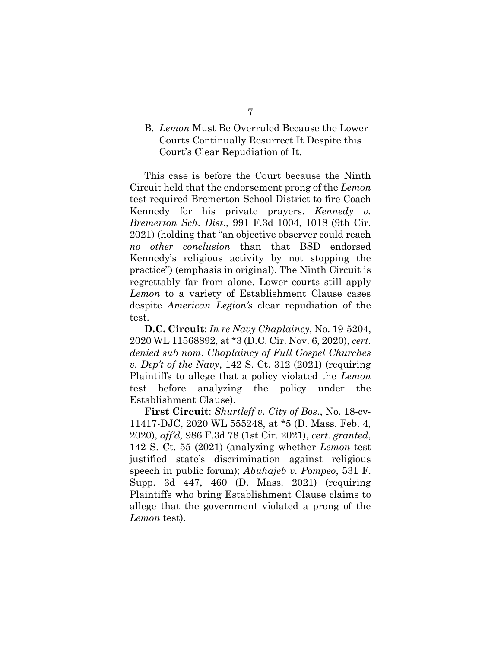#### <span id="page-20-0"></span>B. *Lemon* Must Be Overruled Because the Lower Courts Continually Resurrect It Despite this Court's Clear Repudiation of It.

This case is before the Court because the Ninth Circuit held that the endorsement prong of the *Lemon*  test required Bremerton School District to fire Coach Kennedy for his private prayers. *Kennedy v. Bremerton Sch. Dist.,* 991 F.3d 1004, 1018 (9th Cir. 2021) (holding that "an objective observer could reach *no other conclusion* than that BSD endorsed Kennedy's religious activity by not stopping the practice") (emphasis in original). The Ninth Circuit is regrettably far from alone. Lower courts still apply *Lemon* to a variety of Establishment Clause cases despite *American Legion's* clear repudiation of the test.

**D.C. Circuit**: *In re Navy Chaplaincy*, No. 19-5204, 2020 WL 11568892, at \*3 (D.C. Cir. Nov. 6, 2020), *cert. denied sub nom*. *Chaplaincy of Full Gospel Churches v. Dep't of the Navy*, 142 S. Ct. 312 (2021) (requiring Plaintiffs to allege that a policy violated the *Lemon* test before analyzing the policy under the Establishment Clause).

**First Circuit**: *Shurtleff v. City of Bos*., No. 18-cv-11417-DJC, 2020 WL 555248, at \*5 (D. Mass. Feb. 4, 2020), *aff'd,* 986 F.3d 78 (1st Cir. 2021), *cert. granted*, 142 S. Ct. 55 (2021) (analyzing whether *Lemon* test justified state's discrimination against religious speech in public forum); *Abuhajeb v. Pompeo*, 531 F. Supp. 3d 447, 460 (D. Mass. 2021) (requiring Plaintiffs who bring Establishment Clause claims to allege that the government violated a prong of the *Lemon* test).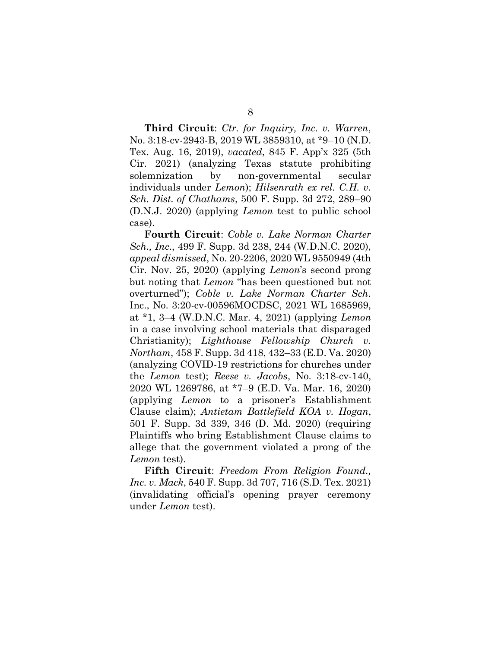**Third Circuit**: *Ctr. for Inquiry, Inc. v. Warren*, No. 3:18-cv-2943-B, 2019 WL 3859310, at \*9–10 (N.D. Tex. Aug. 16, 2019), *vacated*, 845 F. App'x 325 (5th Cir. 2021) (analyzing Texas statute prohibiting solemnization by non-governmental secular individuals under *Lemon*); *Hilsenrath ex rel. C.H. v. Sch. Dist. of Chathams*, 500 F. Supp. 3d 272, 289–90 (D.N.J. 2020) (applying *Lemon* test to public school case).

**Fourth Circuit**: *Coble v. Lake Norman Charter Sch., Inc*., 499 F. Supp. 3d 238, 244 (W.D.N.C. 2020), *appeal dismissed*, No. 20-2206, 2020 WL 9550949 (4th Cir. Nov. 25, 2020) (applying *Lemon*'s second prong but noting that *Lemon* "has been questioned but not overturned"); *Coble v. Lake Norman Charter Sch*. Inc., No. 3:20-cv-00596MOCDSC, 2021 WL 1685969, at \*1, 3–4 (W.D.N.C. Mar. 4, 2021) (applying *Lemon* in a case involving school materials that disparaged Christianity); *Lighthouse Fellowship Church v. Northam*, 458 F. Supp. 3d 418, 432–33 (E.D. Va. 2020) (analyzing COVID-19 restrictions for churches under the *Lemon* test); *Reese v. Jacobs*, No. 3:18-cv-140, 2020 WL 1269786, at \*7–9 (E.D. Va. Mar. 16, 2020) (applying *Lemon* to a prisoner's Establishment Clause claim); *Antietam Battlefield KOA v. Hogan*, 501 F. Supp. 3d 339, 346 (D. Md. 2020) (requiring Plaintiffs who bring Establishment Clause claims to allege that the government violated a prong of the *Lemon* test).

**Fifth Circuit**: *Freedom From Religion Found., Inc. v. Mack*, 540 F. Supp. 3d 707, 716 (S.D. Tex. 2021) (invalidating official's opening prayer ceremony under *Lemon* test).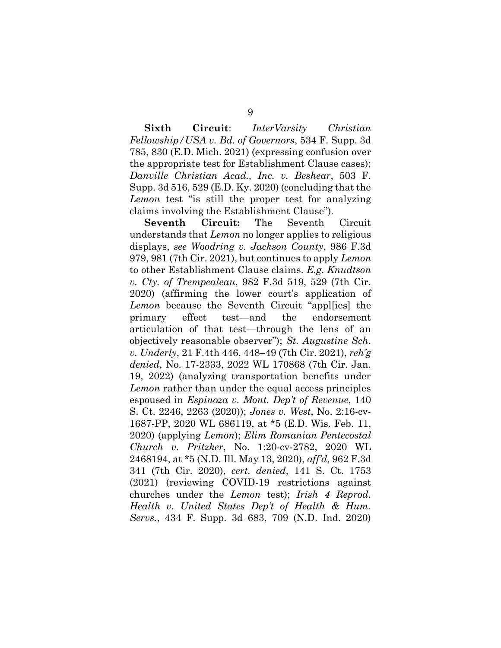**Sixth Circuit**: *InterVarsity Christian Fellowship/USA v. Bd. of Governors*, 534 F. Supp. 3d 785, 830 (E.D. Mich. 2021) (expressing confusion over the appropriate test for Establishment Clause cases); *Danville Christian Acad., Inc. v. Beshear*, 503 F. Supp. 3d 516, 529 (E.D. Ky. 2020) (concluding that the *Lemon* test "is still the proper test for analyzing claims involving the Establishment Clause").

**Seventh Circuit:** The Seventh Circuit understands that *Lemon* no longer applies to religious displays, *see Woodring v. Jackson County*, 986 F.3d 979, 981 (7th Cir. 2021), but continues to apply *Lemon* to other Establishment Clause claims. *E.g. Knudtson v. Cty. of Trempealeau*, 982 F.3d 519, 529 (7th Cir. 2020) (affirming the lower court's application of *Lemon* because the Seventh Circuit "appl[ies] the primary effect test—and the endorsement articulation of that test—through the lens of an objectively reasonable observer"); *St. Augustine Sch. v. Underly*, 21 F.4th 446, 448–49 (7th Cir. 2021), *reh'g denied*, No. 17-2333, 2022 WL 170868 (7th Cir. Jan. 19, 2022) (analyzing transportation benefits under *Lemon* rather than under the equal access principles espoused in *Espinoza v. Mont. Dep't of Revenue*, 140 S. Ct. 2246, 2263 (2020)); *Jones v. West*, No. 2:16-cv-1687-PP, 2020 WL 686119, at \*5 (E.D. Wis. Feb. 11, 2020) (applying *Lemon*); *Elim Romanian Pentecostal Church v. Pritzker*, No. 1:20-cv-2782, 2020 WL 2468194, at \*5 (N.D. Ill. May 13, 2020), *aff'd*, 962 F.3d 341 (7th Cir. 2020), *cert. denied*, 141 S. Ct. 1753 (2021) (reviewing COVID-19 restrictions against churches under the *Lemon* test); *Irish 4 Reprod. Health v. United States Dep't of Health & Hum. Servs.*, 434 F. Supp. 3d 683, 709 (N.D. Ind. 2020)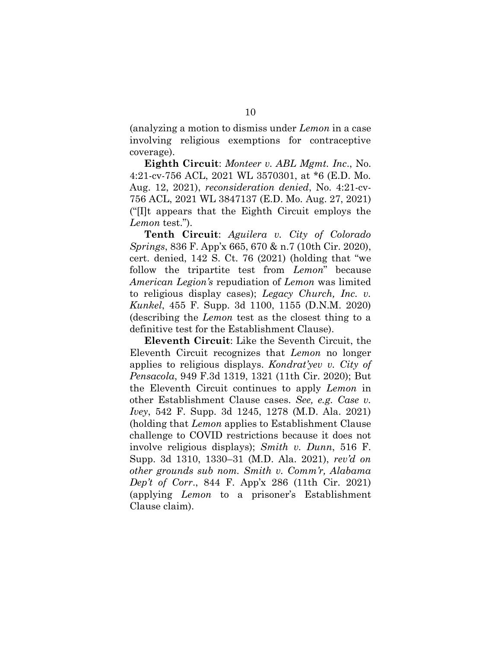(analyzing a motion to dismiss under *Lemon* in a case involving religious exemptions for contraceptive coverage).

**Eighth Circuit**: *Monteer v. ABL Mgmt. Inc*., No. 4:21-cv-756 ACL, 2021 WL 3570301, at \*6 (E.D. Mo. Aug. 12, 2021), *reconsideration denied*, No. 4:21-cv-756 ACL, 2021 WL 3847137 (E.D. Mo. Aug. 27, 2021) ("[I]t appears that the Eighth Circuit employs the *Lemon* test.").

**Tenth Circuit**: *Aguilera v. City of Colorado Springs*, 836 F. App'x 665, 670 & n.7 (10th Cir. 2020), cert. denied, 142 S. Ct. 76 (2021) (holding that "we follow the tripartite test from *Lemon*" because *American Legion's* repudiation of *Lemon* was limited to religious display cases); *Legacy Church, Inc. v. Kunkel*, 455 F. Supp. 3d 1100, 1155 (D.N.M. 2020) (describing the *Lemon* test as the closest thing to a definitive test for the Establishment Clause).

**Eleventh Circuit**: Like the Seventh Circuit, the Eleventh Circuit recognizes that *Lemon* no longer applies to religious displays. *Kondrat'yev v. City of Pensacola*, 949 F.3d 1319, 1321 (11th Cir. 2020); But the Eleventh Circuit continues to apply *Lemon* in other Establishment Clause cases. *See, e.g. Case v. Ivey*, 542 F. Supp. 3d 1245, 1278 (M.D. Ala. 2021) (holding that *Lemon* applies to Establishment Clause challenge to COVID restrictions because it does not involve religious displays); *Smith v. Dunn*, 516 F. Supp. 3d 1310, 1330–31 (M.D. Ala. 2021), *rev'd on other grounds sub nom. Smith v. Comm'r, Alabama Dep't of Corr*., 844 F. App'x 286 (11th Cir. 2021) (applying *Lemon* to a prisoner's Establishment Clause claim).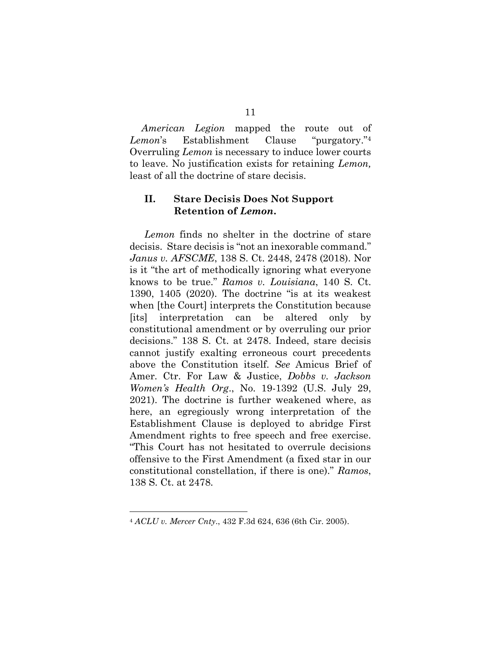*American Legion* mapped the route out of *Lemon*'s Establishment Clause "purgatory."4 Overruling *Lemon* is necessary to induce lower courts to leave. No justification exists for retaining *Lemon,*  least of all the doctrine of stare decisis.

#### <span id="page-24-0"></span>**II. Stare Decisis Does Not Support Retention of** *Lemon***.**

*Lemon* finds no shelter in the doctrine of stare decisis. Stare decisis is "not an inexorable command." *Janus v. AFSCME*, 138 S. Ct. 2448, 2478 (2018). Nor is it "the art of methodically ignoring what everyone knows to be true." *Ramos v. Louisiana*, 140 S. Ct. 1390, 1405 (2020). The doctrine "is at its weakest when [the Court] interprets the Constitution because [its] interpretation can be altered only by constitutional amendment or by overruling our prior decisions." 138 S. Ct. at 2478. Indeed, stare decisis cannot justify exalting erroneous court precedents above the Constitution itself. *See* Amicus Brief of Amer. Ctr. For Law & Justice, *Dobbs v. Jackson Women's Health Org*., No. 19-1392 (U.S. July 29, 2021). The doctrine is further weakened where, as here, an egregiously wrong interpretation of the Establishment Clause is deployed to abridge First Amendment rights to free speech and free exercise. "This Court has not hesitated to overrule decisions offensive to the First Amendment (a fixed star in our constitutional constellation, if there is one)." *Ramos*, 138 S. Ct. at 2478*.*

<sup>4</sup> *ACLU v. Mercer Cnty*., 432 F.3d 624, 636 (6th Cir. 2005).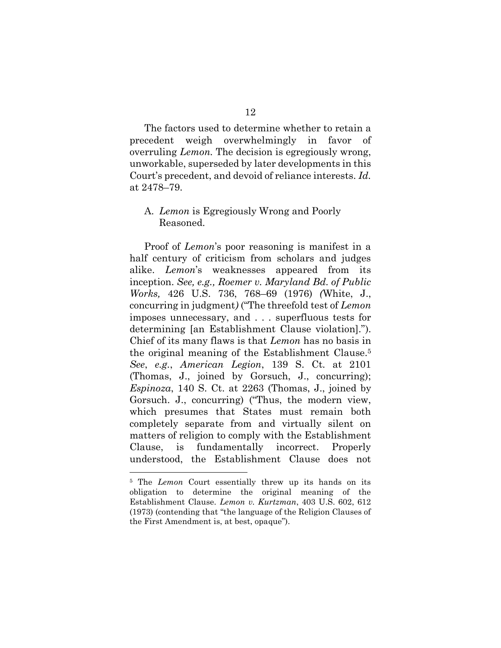12

The factors used to determine whether to retain a precedent weigh overwhelmingly in favor of overruling *Lemon.* The decision is egregiously wrong, unworkable, superseded by later developments in this Court's precedent, and devoid of reliance interests. *Id.* at 2478–79.

#### <span id="page-25-0"></span>A. *Lemon* is Egregiously Wrong and Poorly Reasoned.

Proof of *Lemon*'s poor reasoning is manifest in a half century of criticism from scholars and judges alike. *Lemon*'s weaknesses appeared from its inception. *See, e.g., Roemer v. Maryland Bd. of Public Works,* 426 U.S. 736, 768–69 (1976) *(*White, J., concurring in judgment*)* ("The threefold test of *Lemon* imposes unnecessary, and . . . superfluous tests for determining [an Establishment Clause violation]."). Chief of its many flaws is that *Lemon* has no basis in the original meaning of the Establishment Clause.<sup>5</sup> *See*, *e.g.*, *American Legion*, 139 S. Ct. at 2101 (Thomas, J., joined by Gorsuch, J., concurring); *Espinoza*, 140 S. Ct. at 2263 (Thomas, J., joined by Gorsuch. J., concurring) ("Thus, the modern view, which presumes that States must remain both completely separate from and virtually silent on matters of religion to comply with the Establishment Clause, is fundamentally incorrect. Properly understood, the Establishment Clause does not

<sup>5</sup> The *Lemon* Court essentially threw up its hands on its obligation to determine the original meaning of the Establishment Clause. *Lemon v. Kurtzman*, 403 U.S. 602, 612 (1973) (contending that "the language of the Religion Clauses of the First Amendment is, at best, opaque").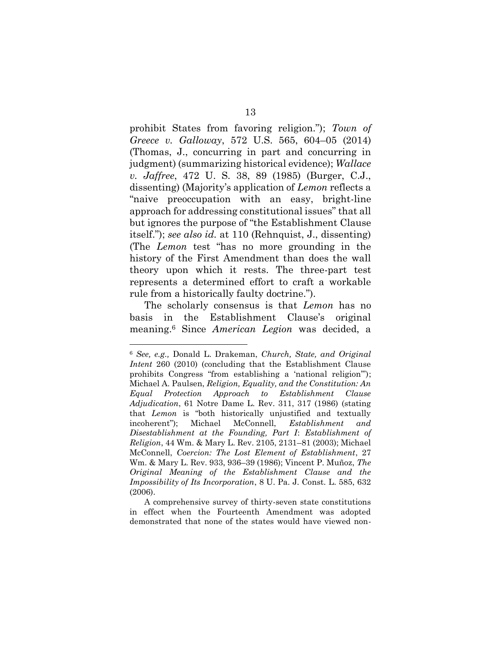prohibit States from favoring religion."); *Town of Greece v. Galloway*, 572 U.S. 565, 604–05 (2014) (Thomas, J., concurring in part and concurring in judgment) (summarizing historical evidence); *Wallace v. Jaffree*, 472 U. S. 38, 89 (1985) (Burger, C.J., dissenting) (Majority's application of *Lemon* reflects a "naive preoccupation with an easy, bright-line approach for addressing constitutional issues" that all but ignores the purpose of "the Establishment Clause itself."); *see also id.* at 110 (Rehnquist, J., dissenting) (The *Lemon* test "has no more grounding in the history of the First Amendment than does the wall theory upon which it rests. The three-part test represents a determined effort to craft a workable rule from a historically faulty doctrine.").

The scholarly consensus is that *Lemon* has no basis in the Establishment Clause's original meaning. <sup>6</sup> Since *American Legion* was decided, a

<sup>6</sup> *See, e.g.,* Donald L. Drakeman, *Church, State, and Original Intent* 260 (2010) (concluding that the Establishment Clause prohibits Congress "from establishing a 'national religion'"); Michael A. Paulsen, *Religion, Equality, and the Constitution: An Equal Protection Approach to Establishment Clause Adjudication*, 61 Notre Dame L. Rev. 311, 317 (1986) (stating that *Lemon* is "both historically unjustified and textually incoherent"); Michael McConnell, *Establishment and Disestablishment at the Founding, Part I*: *Establishment of Religion*, 44 Wm. & Mary L. Rev. 2105, 2131–81 (2003); Michael McConnell, *Coercion: The Lost Element of Establishment*, 27 Wm. & Mary L. Rev. 933, 936–39 (1986); Vincent P. Muñoz, *The Original Meaning of the Establishment Clause and the Impossibility of Its Incorporation*, 8 U. Pa. J. Const. L. 585, 632 (2006).

A comprehensive survey of thirty-seven state constitutions in effect when the Fourteenth Amendment was adopted demonstrated that none of the states would have viewed non-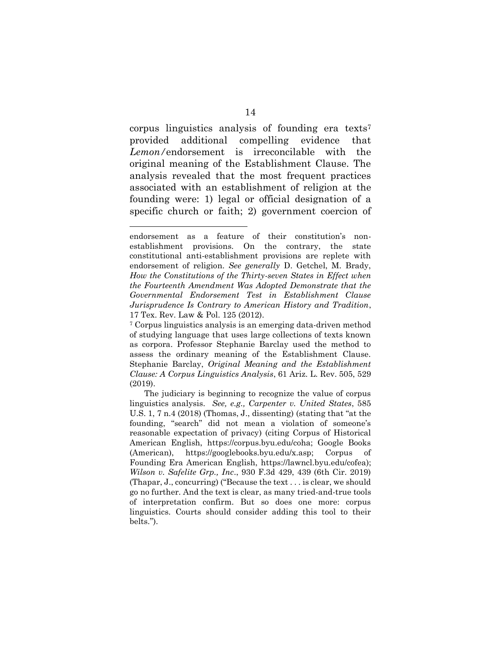corpus linguistics analysis of founding era texts<sup>7</sup> provided additional compelling evidence that *Lemon/*endorsement is irreconcilable with the original meaning of the Establishment Clause. The analysis revealed that the most frequent practices associated with an establishment of religion at the founding were: 1) legal or official designation of a specific church or faith; 2) government coercion of

endorsement as a feature of their constitution's nonestablishment provisions. On the contrary, the state constitutional anti-establishment provisions are replete with endorsement of religion. *See generally* D. Getchel, M. Brady, *How the Constitutions of the Thirty-seven States in Effect when the Fourteenth Amendment Was Adopted Demonstrate that the Governmental Endorsement Test in Establishment Clause Jurisprudence Is Contrary to American History and Tradition*, 17 Tex. Rev. Law & Pol. 125 (2012).

<sup>7</sup> Corpus linguistics analysis is an emerging data-driven method of studying language that uses large collections of texts known as corpora. Professor Stephanie Barclay used the method to assess the ordinary meaning of the Establishment Clause. Stephanie Barclay, *Original Meaning and the Establishment Clause: A Corpus Linguistics Analysis*, 61 Ariz. L. Rev. 505, 529 (2019).

The judiciary is beginning to recognize the value of corpus linguistics analysis. *See, e.g., Carpenter v. United States*, 585 U.S. 1, 7 n.4 (2018) (Thomas, J., dissenting) (stating that "at the founding, "search" did not mean a violation of someone's reasonable expectation of privacy) (citing Corpus of Historical American English, https://corpus.byu.edu/coha; Google Books (American), https://googlebooks.byu.edu/x.asp; Corpus of Founding Era American English, https://lawncl.byu.edu/cofea); *Wilson v. Safelite Grp., Inc*., 930 F.3d 429, 439 (6th Cir. 2019) (Thapar, J., concurring) ("Because the text . . . is clear, we should go no further. And the text is clear, as many tried-and-true tools of interpretation confirm. But so does one more: corpus linguistics. Courts should consider adding this tool to their belts.").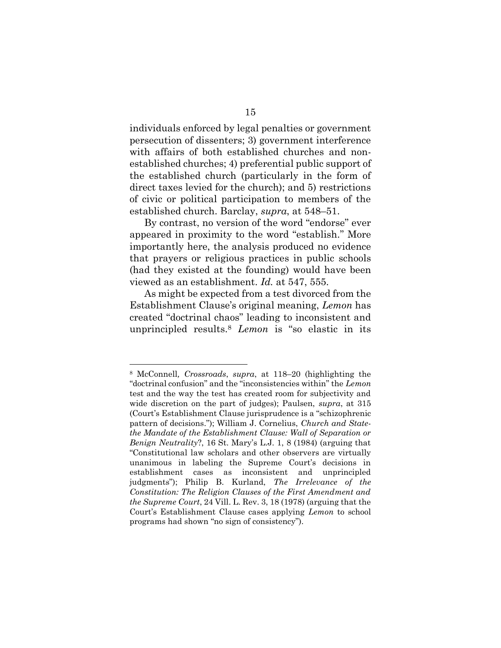individuals enforced by legal penalties or government persecution of dissenters; 3) government interference with affairs of both established churches and nonestablished churches; 4) preferential public support of the established church (particularly in the form of direct taxes levied for the church); and 5) restrictions of civic or political participation to members of the established church. Barclay, *supra*, at 548–51.

By contrast, no version of the word "endorse" ever appeared in proximity to the word "establish." More importantly here, the analysis produced no evidence that prayers or religious practices in public schools (had they existed at the founding) would have been viewed as an establishment. *Id.* at 547, 555.

As might be expected from a test divorced from the Establishment Clause's original meaning, *Lemon* has created "doctrinal chaos" leading to inconsistent and unprincipled results.<sup>8</sup> *Lemon* is "so elastic in its

<sup>8</sup> McConnell*, Crossroads*, *supra*, at 118–20 (highlighting the "doctrinal confusion" and the "inconsistencies within" the *Lemon* test and the way the test has created room for subjectivity and wide discretion on the part of judges); Paulsen, *supra*, at 315 (Court's Establishment Clause jurisprudence is a "schizophrenic pattern of decisions."); William J. Cornelius, *Church and Statethe Mandate of the Establishment Clause: Wall of Separation or Benign Neutrality*?, 16 St. Mary's L.J. 1, 8 (1984) (arguing that "Constitutional law scholars and other observers are virtually unanimous in labeling the Supreme Court's decisions in establishment cases as inconsistent and unprincipled judgments"); Philip B. Kurland, *The Irrelevance of the Constitution: The Religion Clauses of the First Amendment and the Supreme Court*, 24 Vill. L. Rev. 3, 18 (1978) (arguing that the Court's Establishment Clause cases applying *Lemon* to school programs had shown "no sign of consistency").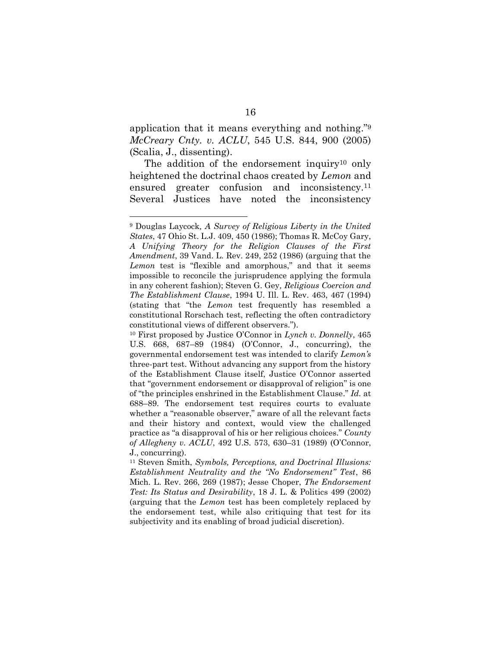application that it means everything and nothing." 9 *McCreary Cnty. v. ACLU*, 545 U.S. 844, 900 (2005) (Scalia, J., dissenting).

The addition of the endorsement inquiry<sup>10</sup> only heightened the doctrinal chaos created by *Lemon* and ensured greater confusion and inconsistency.<sup>11</sup> Several Justices have noted the inconsistency

<sup>9</sup> Douglas Laycock*, A Survey of Religious Liberty in the United States*, 47 Ohio St. L.J. 409, 450 (1986); Thomas R. McCoy Gary, *A Unifying Theory for the Religion Clauses of the First Amendment*, 39 Vand. L. Rev. 249, 252 (1986) (arguing that the *Lemon* test is "flexible and amorphous," and that it seems impossible to reconcile the jurisprudence applying the formula in any coherent fashion); Steven G. Gey*, Religious Coercion and The Establishment Clause*, 1994 U. Ill. L. Rev. 463, 467 (1994) (stating that "the *Lemon* test frequently has resembled a constitutional Rorschach test, reflecting the often contradictory constitutional views of different observers.").

<sup>10</sup> First proposed by Justice O'Connor in *Lynch v. Donnelly*, 465 U.S. 668, 687–89 (1984) (O'Connor, J., concurring), the governmental endorsement test was intended to clarify *Lemon's* three-part test. Without advancing any support from the history of the Establishment Clause itself, Justice O'Connor asserted that "government endorsement or disapproval of religion" is one of "the principles enshrined in the Establishment Clause." *Id.* at 688–89. The endorsement test requires courts to evaluate whether a "reasonable observer," aware of all the relevant facts and their history and context, would view the challenged practice as "a disapproval of his or her religious choices." *County of Allegheny v. ACLU*, 492 U.S. 573, 630–31 (1989) (O'Connor, J., concurring).

<sup>11</sup> Steven Smith, *Symbols, Perceptions, and Doctrinal Illusions: Establishment Neutrality and the "No Endorsement" Test*, 86 Mich. L. Rev. 266, 269 (1987); Jesse Choper, *The Endorsement Test: Its Status and Desirability*, 18 J. L. & Politics 499 (2002) (arguing that the *Lemon* test has been completely replaced by the endorsement test, while also critiquing that test for its subjectivity and its enabling of broad judicial discretion).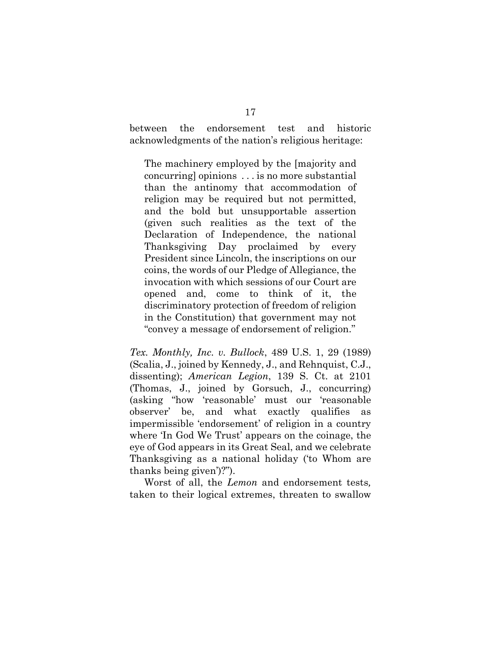between the endorsement test and historic acknowledgments of the nation's religious heritage:

The machinery employed by the [majority and concurring] opinions . . . is no more substantial than the antinomy that accommodation of religion may be required but not permitted, and the bold but unsupportable assertion (given such realities as the text of the Declaration of Independence, the national Thanksgiving Day proclaimed by every President since Lincoln, the inscriptions on our coins, the words of our Pledge of Allegiance, the invocation with which sessions of our Court are opened and, come to think of it, the discriminatory protection of freedom of religion in the Constitution) that government may not "convey a message of endorsement of religion."

*Tex. Monthly, Inc. v. Bullock*, 489 U.S. 1, 29 (1989) (Scalia, J., joined by Kennedy, J., and Rehnquist, C.J., dissenting); *American Legion*, 139 S. Ct. at 2101 (Thomas, J., joined by Gorsuch, J., concurring) (asking "how 'reasonable' must our 'reasonable observer' be, and what exactly qualifies as impermissible 'endorsement' of religion in a country where 'In God We Trust' appears on the coinage, the eye of God appears in its Great Seal, and we celebrate Thanksgiving as a national holiday ('to Whom are thanks being given')?").

Worst of all, the *Lemon* and endorsement tests*,* taken to their logical extremes, threaten to swallow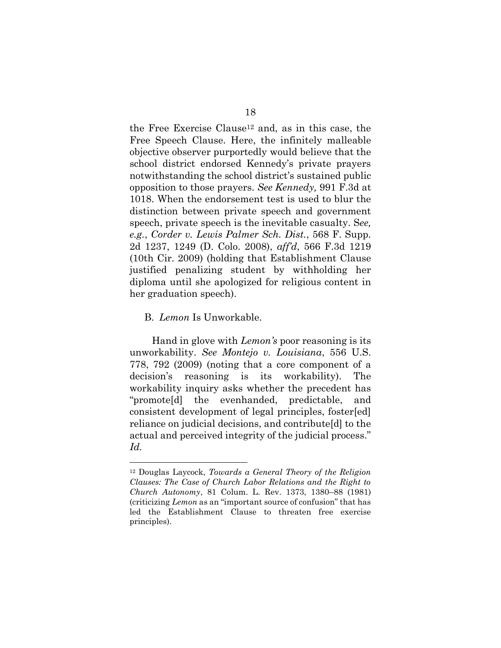the Free Exercise Clause<sup>12</sup> and, as in this case, the Free Speech Clause. Here, the infinitely malleable objective observer purportedly would believe that the school district endorsed Kennedy's private prayers notwithstanding the school district's sustained public opposition to those prayers. *See Kennedy,* 991 F.3d at 1018. When the endorsement test is used to blur the distinction between private speech and government speech, private speech is the inevitable casualty. S*ee, e.g.*, *Corder v. Lewis Palmer Sch. Dist.*, 568 F. Supp. 2d 1237, 1249 (D. Colo. 2008), *aff'd*, 566 F.3d 1219 (10th Cir. 2009) (holding that Establishment Clause justified penalizing student by withholding her diploma until she apologized for religious content in her graduation speech).

<span id="page-31-0"></span>B. *Lemon* Is Unworkable.

Hand in glove with *Lemon's* poor reasoning is its unworkability. *See Montejo v. Louisiana*, 556 U.S. 778, 792 (2009) (noting that a core component of a decision's reasoning is its workability). The workability inquiry asks whether the precedent has "promote[d] the evenhanded, predictable, and consistent development of legal principles, foster[ed] reliance on judicial decisions, and contribute[d] to the actual and perceived integrity of the judicial process." *Id.*

<sup>12</sup> Douglas Laycock, *Towards a General Theory of the Religion Clauses: The Case of Church Labor Relations and the Right to Church Autonomy*, 81 Colum. L. Rev. 1373, 1380–88 (1981) (criticizing *Lemon* as an "important source of confusion" that has led the Establishment Clause to threaten free exercise principles).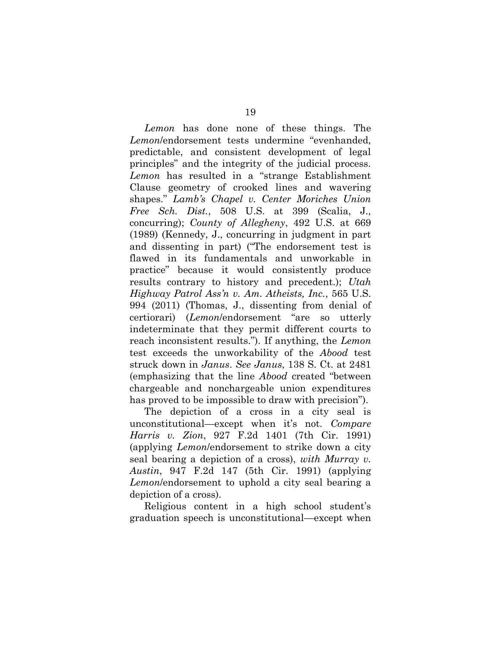*Lemon* has done none of these things. The *Lemon*/endorsement tests undermine "evenhanded, predictable, and consistent development of legal principles" and the integrity of the judicial process. *Lemon* has resulted in a "strange Establishment Clause geometry of crooked lines and wavering shapes." *Lamb's Chapel v. Center Moriches Union Free Sch. Dist.*, 508 U.S. at 399 (Scalia, J., concurring); *County of Allegheny*, 492 U.S. at 669 (1989) (Kennedy, J., concurring in judgment in part and dissenting in part) ("The endorsement test is flawed in its fundamentals and unworkable in practice" because it would consistently produce results contrary to history and precedent.); *Utah Highway Patrol Ass'n v. Am. Atheists, Inc.*, 565 U.S. 994 (2011) (Thomas, J., dissenting from denial of certiorari) (*Lemon*/endorsement "are so utterly indeterminate that they permit different courts to reach inconsistent results."). If anything, the *Lemon* test exceeds the unworkability of the *Abood* test struck down in *Janus*. *See Janus*, 138 S. Ct. at 2481 (emphasizing that the line *Abood* created "between chargeable and nonchargeable union expenditures has proved to be impossible to draw with precision").

The depiction of a cross in a city seal is unconstitutional—except when it's not. *Compare Harris v. Zion*, 927 F.2d 1401 (7th Cir. 1991) (applying *Lemon*/endorsement to strike down a city seal bearing a depiction of a cross), *with Murray v. Austin*, 947 F.2d 147 (5th Cir. 1991) (applying *Lemon*/endorsement to uphold a city seal bearing a depiction of a cross).

Religious content in a high school student's graduation speech is unconstitutional—except when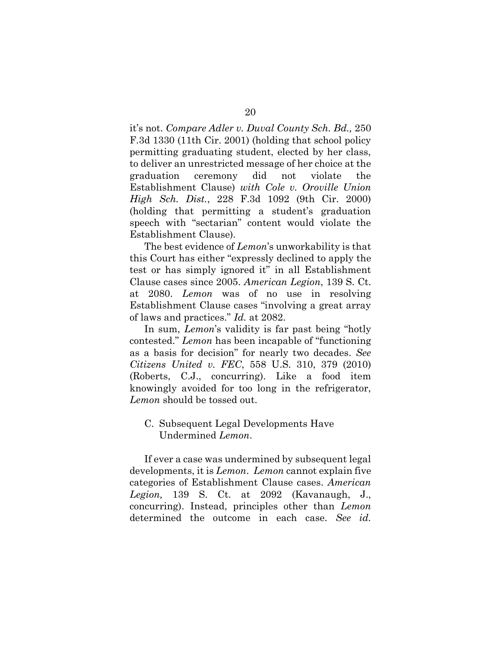it's not. *Compare Adler v. Duval County Sch. Bd.,* 250 F.3d 1330 (11th Cir. 2001) (holding that school policy permitting graduating student, elected by her class, to deliver an unrestricted message of her choice at the graduation ceremony did not violate the Establishment Clause) *with Cole v. Oroville Union High Sch. Dist.*, 228 F.3d 1092 (9th Cir. 2000) (holding that permitting a student's graduation speech with "sectarian" content would violate the Establishment Clause).

The best evidence of *Lemon*'s unworkability is that this Court has either "expressly declined to apply the test or has simply ignored it" in all Establishment Clause cases since 2005. *American Legion*, 139 S. Ct. at 2080. *Lemon* was of no use in resolving Establishment Clause cases "involving a great array of laws and practices." *Id.* at 2082.

In sum, *Lemon*'s validity is far past being "hotly contested." *Lemon* has been incapable of "functioning as a basis for decision" for nearly two decades. *See Citizens United v. FEC*, 558 U.S. 310, 379 (2010) (Roberts, C.J., concurring). Like a food item knowingly avoided for too long in the refrigerator, *Lemon* should be tossed out.

#### <span id="page-33-0"></span>C. Subsequent Legal Developments Have Undermined *Lemon*.

If ever a case was undermined by subsequent legal developments, it is *Lemon*. *Lemon* cannot explain five categories of Establishment Clause cases. *American Legion,* 139 S. Ct. at 2092 (Kavanaugh, J., concurring). Instead, principles other than *Lemon* determined the outcome in each case. *See id.*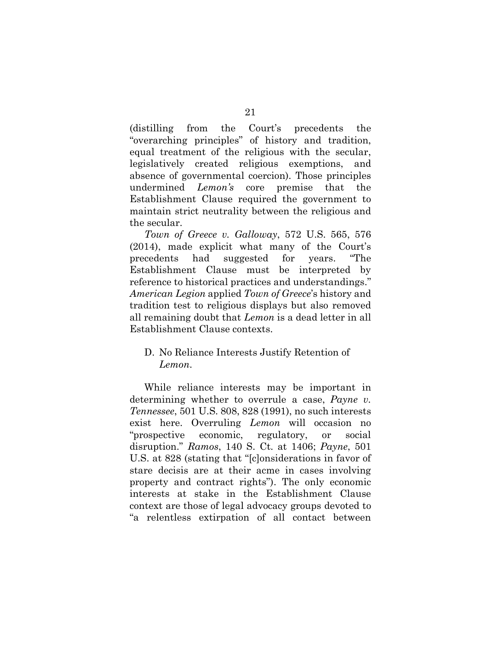(distilling from the Court's precedents the "overarching principles" of history and tradition, equal treatment of the religious with the secular, legislatively created religious exemptions, and absence of governmental coercion). Those principles undermined *Lemon's* core premise that the Establishment Clause required the government to maintain strict neutrality between the religious and the secular.

*Town of Greece v. Galloway*, 572 U.S. 565, 576 (2014), made explicit what many of the Court's precedents had suggested for years. "The Establishment Clause must be interpreted by reference to historical practices and understandings." *American Legion* applied *Town of Greece*'s history and tradition test to religious displays but also removed all remaining doubt that *Lemon* is a dead letter in all Establishment Clause contexts.

#### <span id="page-34-0"></span>D. No Reliance Interests Justify Retention of *Lemon*.

While reliance interests may be important in determining whether to overrule a case, *Payne v. Tennessee*, 501 U.S. 808, 828 (1991), no such interests exist here. Overruling *Lemon* will occasion no "prospective economic, regulatory, or social disruption." *Ramos*, 140 S. Ct. at 1406; *Payne*, 501 U.S. at 828 (stating that "[c]onsiderations in favor of stare decisis are at their acme in cases involving property and contract rights"). The only economic interests at stake in the Establishment Clause context are those of legal advocacy groups devoted to "a relentless extirpation of all contact between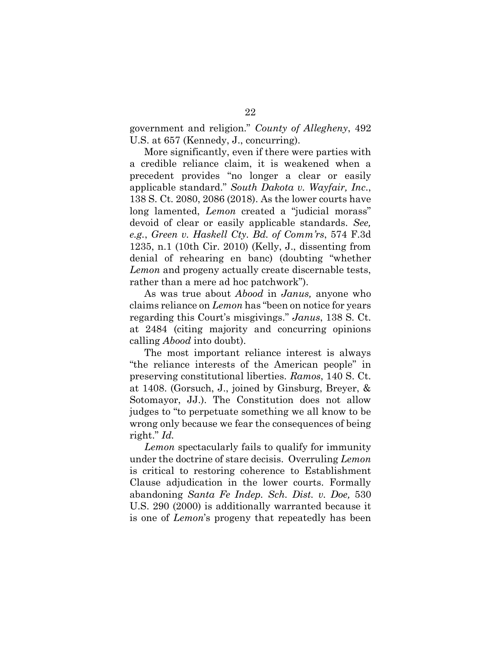government and religion." *County of Allegheny*, 492 U.S. at 657 (Kennedy, J., concurring).

More significantly, even if there were parties with a credible reliance claim, it is weakened when a precedent provides "no longer a clear or easily applicable standard." *South Dakota v. Wayfair, Inc*., 138 S. Ct. 2080, 2086 (2018). As the lower courts have long lamented, *Lemon* created a "judicial morass" devoid of clear or easily applicable standards. *See, e.g.*, *Green v. Haskell Cty. Bd. of Comm'rs*, 574 F.3d 1235, n.1 (10th Cir. 2010) (Kelly, J., dissenting from denial of rehearing en banc) (doubting "whether *Lemon* and progeny actually create discernable tests, rather than a mere ad hoc patchwork").

As was true about *Abood* in *Janus,* anyone who claims reliance on *Lemon* has "been on notice for years regarding this Court's misgivings." *Janus*, 138 S. Ct. at 2484 (citing majority and concurring opinions calling *Abood* into doubt).

The most important reliance interest is always "the reliance interests of the American people" in preserving constitutional liberties. *Ramos*, 140 S. Ct. at 1408. (Gorsuch, J., joined by Ginsburg, Breyer, & Sotomayor, JJ.). The Constitution does not allow judges to "to perpetuate something we all know to be wrong only because we fear the consequences of being right." *Id.*

*Lemon* spectacularly fails to qualify for immunity under the doctrine of stare decisis. Overruling *Lemon* is critical to restoring coherence to Establishment Clause adjudication in the lower courts. Formally abandoning *Santa Fe Indep. Sch. Dist. v. Doe,* 530 U.S. 290 (2000) is additionally warranted because it is one of *Lemon*'s progeny that repeatedly has been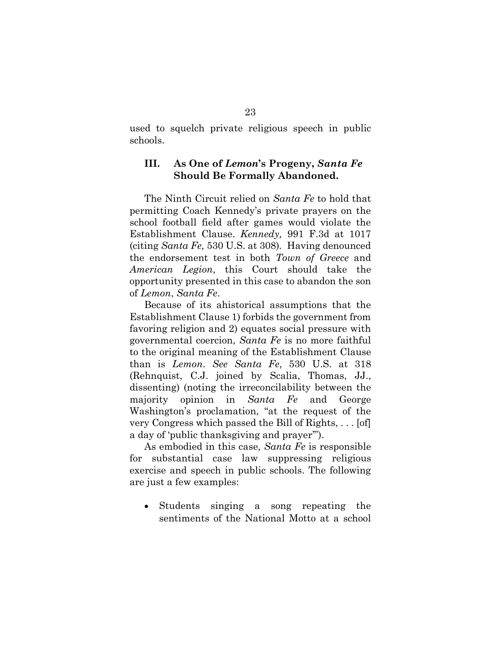used to squelch private religious speech in public schools.

### <span id="page-36-0"></span>**III. As One of** *Lemon***'s Progeny,** *Santa Fe* **Should Be Formally Abandoned.**

The Ninth Circuit relied on *Santa Fe* to hold that permitting Coach Kennedy's private prayers on the school football field after games would violate the Establishment Clause. *Kennedy,* 991 F.3d at 1017 (citing *Santa Fe,* 530 U.S. at 308)*.* Having denounced the endorsement test in both *Town of Greece* and *American Legion*, this Court should take the opportunity presented in this case to abandon the son of *Lemon*, *Santa Fe*.

Because of its ahistorical assumptions that the Establishment Clause 1) forbids the government from favoring religion and 2) equates social pressure with governmental coercion, *Santa Fe* is no more faithful to the original meaning of the Establishment Clause than is *Lemon*. *See Santa Fe*, 530 U.S. at 318 (Rehnquist, C.J. joined by Scalia, Thomas, JJ., dissenting) (noting the irreconcilability between the majority opinion in *Santa Fe* and George Washington's proclamation, "at the request of the very Congress which passed the Bill of Rights, . . . [of] a day of 'public thanksgiving and prayer'").

As embodied in this case*, Santa Fe* is responsible for substantial case law suppressing religious exercise and speech in public schools. The following are just a few examples:

• Students singing a song repeating the sentiments of the National Motto at a school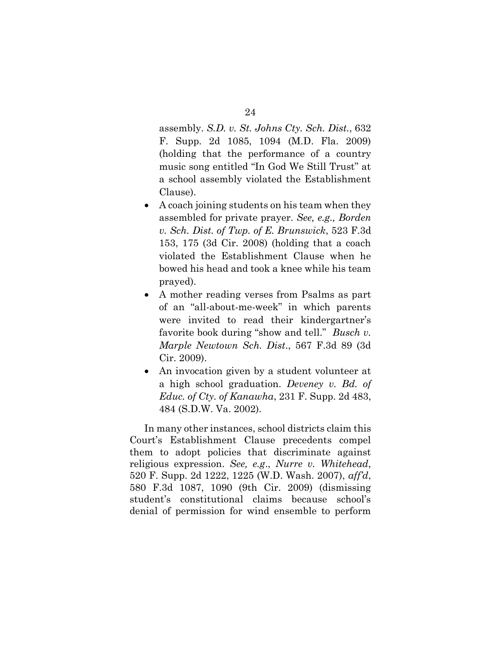assembly. *S.D. v. St. Johns Cty. Sch. Dist.*, 632 F. Supp. 2d 1085, 1094 (M.D. Fla. 2009) (holding that the performance of a country music song entitled "In God We Still Trust" at a school assembly violated the Establishment Clause).

- A coach joining students on his team when they assembled for private prayer. *See, e.g., Borden v. Sch. Dist. of Twp. of E. Brunswick*, 523 F.3d 153, 175 (3d Cir. 2008) (holding that a coach violated the Establishment Clause when he bowed his head and took a knee while his team prayed).
- A mother reading verses from Psalms as part of an "all-about-me-week" in which parents were invited to read their kindergartner's favorite book during "show and tell." *Busch v. Marple Newtown Sch. Dist*., 567 F.3d 89 (3d Cir. 2009).
- An invocation given by a student volunteer at a high school graduation. *Deveney v. Bd. of Educ. of Cty. of Kanawha*, 231 F. Supp. 2d 483, 484 (S.D.W. Va. 2002).

In many other instances, school districts claim this Court's Establishment Clause precedents compel them to adopt policies that discriminate against religious expression. *See, e.g*., *Nurre v. Whitehead*, 520 F. Supp. 2d 1222, 1225 (W.D. Wash. 2007), *aff'd*, 580 F.3d 1087, 1090 (9th Cir. 2009) (dismissing student's constitutional claims because school's denial of permission for wind ensemble to perform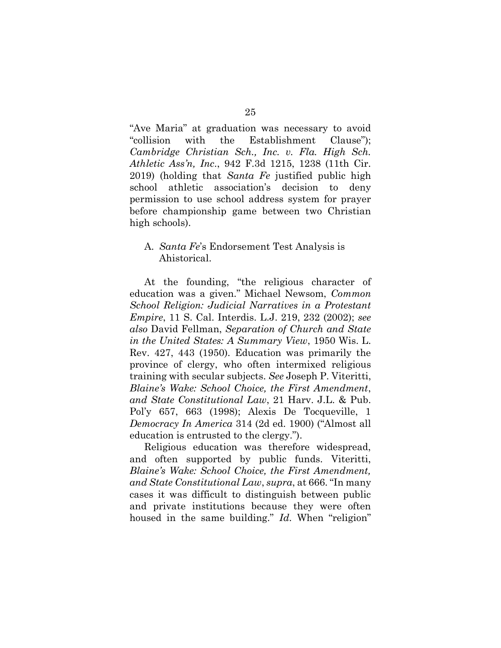"Ave Maria" at graduation was necessary to avoid "collision with the Establishment Clause"); *Cambridge Christian Sch., Inc. v. Fla. High Sch. Athletic Ass'n, Inc*., 942 F.3d 1215, 1238 (11th Cir. 2019) (holding that *Santa Fe* justified public high school athletic association's decision to deny permission to use school address system for prayer before championship game between two Christian high schools).

#### <span id="page-38-0"></span>A. *Santa Fe*'s Endorsement Test Analysis is Ahistorical.

At the founding, "the religious character of education was a given." Michael Newsom, *Common School Religion: Judicial Narratives in a Protestant Empire*, 11 S. Cal. Interdis. L.J. 219, 232 (2002); *see also* David Fellman, *Separation of Church and State in the United States: A Summary View*, 1950 Wis. L. Rev. 427, 443 (1950). Education was primarily the province of clergy, who often intermixed religious training with secular subjects. *See* Joseph P. Viteritti, *Blaine's Wake: School Choice, the First Amendment*, *and State Constitutional Law*, 21 Harv. J.L. & Pub. Pol'y 657, 663 (1998); Alexis De Tocqueville, 1 *Democracy In America* 314 (2d ed. 1900) ("Almost all education is entrusted to the clergy.").

Religious education was therefore widespread, and often supported by public funds. Viteritti, *Blaine's Wake: School Choice, the First Amendment, and State Constitutional Law*, *supra*, at 666. "In many cases it was difficult to distinguish between public and private institutions because they were often housed in the same building." *Id*. When "religion"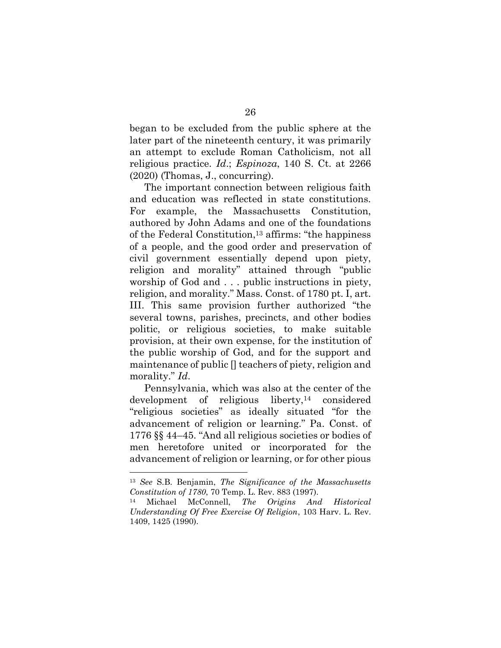began to be excluded from the public sphere at the later part of the nineteenth century, it was primarily an attempt to exclude Roman Catholicism, not all religious practice. *Id*.; *Espinoza*, 140 S. Ct. at 2266 (2020) (Thomas, J., concurring).

The important connection between religious faith and education was reflected in state constitutions. For example, the Massachusetts Constitution, authored by John Adams and one of the foundations of the Federal Constitution, <sup>13</sup> affirms: "the happiness of a people, and the good order and preservation of civil government essentially depend upon piety, religion and morality" attained through "public worship of God and . . . public instructions in piety, religion, and morality." Mass. Const. of 1780 pt. I, art. III. This same provision further authorized "the several towns, parishes, precincts, and other bodies politic, or religious societies, to make suitable provision, at their own expense, for the institution of the public worship of God, and for the support and maintenance of public [] teachers of piety, religion and morality." *Id*.

Pennsylvania, which was also at the center of the development of religious liberty,<sup>14</sup> considered "religious societies" as ideally situated "for the advancement of religion or learning." Pa. Const. of 1776 §§ 44–45. "And all religious societies or bodies of men heretofore united or incorporated for the advancement of religion or learning, or for other pious

<sup>13</sup> *See* S.B. Benjamin, *The Significance of the Massachusetts Constitution of 1780*, 70 Temp. L. Rev. 883 (1997).

<sup>14</sup> Michael McConnell, *The Origins And Historical Understanding Of Free Exercise Of Religion*, 103 Harv. L. Rev. 1409, 1425 (1990).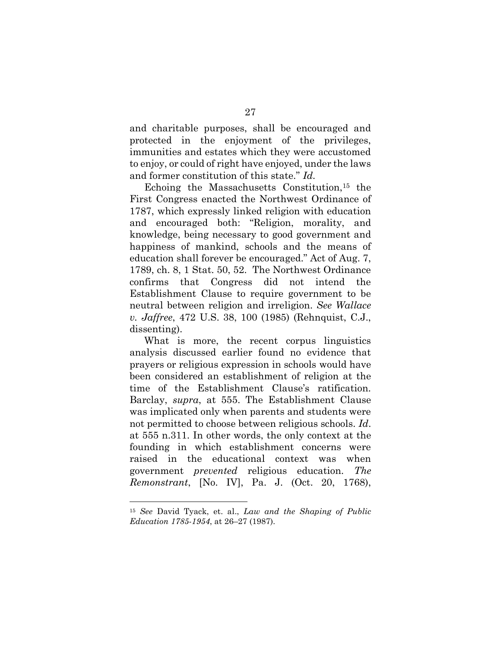and charitable purposes, shall be encouraged and protected in the enjoyment of the privileges, immunities and estates which they were accustomed to enjoy, or could of right have enjoyed, under the laws and former constitution of this state." *Id*.

Echoing the Massachusetts Constitution,<sup>15</sup> the First Congress enacted the Northwest Ordinance of 1787, which expressly linked religion with education and encouraged both: "Religion, morality, and knowledge, being necessary to good government and happiness of mankind, schools and the means of education shall forever be encouraged." Act of Aug. 7, 1789, ch. 8, 1 Stat. 50, 52. The Northwest Ordinance confirms that Congress did not intend the Establishment Clause to require government to be neutral between religion and irreligion. *See Wallace v. Jaffree*, 472 U.S. 38, 100 (1985) (Rehnquist, C.J., dissenting).

What is more, the recent corpus linguistics analysis discussed earlier found no evidence that prayers or religious expression in schools would have been considered an establishment of religion at the time of the Establishment Clause's ratification. Barclay, *supra*, at 555. The Establishment Clause was implicated only when parents and students were not permitted to choose between religious schools. *Id*. at 555 n.311. In other words, the only context at the founding in which establishment concerns were raised in the educational context was when government *prevented* religious education. *The Remonstrant*, [No. IV], Pa. J. (Oct. 20, 1768),

<sup>15</sup> *See* David Tyack, et. al., *Law and the Shaping of Public Education 1785-1954*, at 26–27 (1987).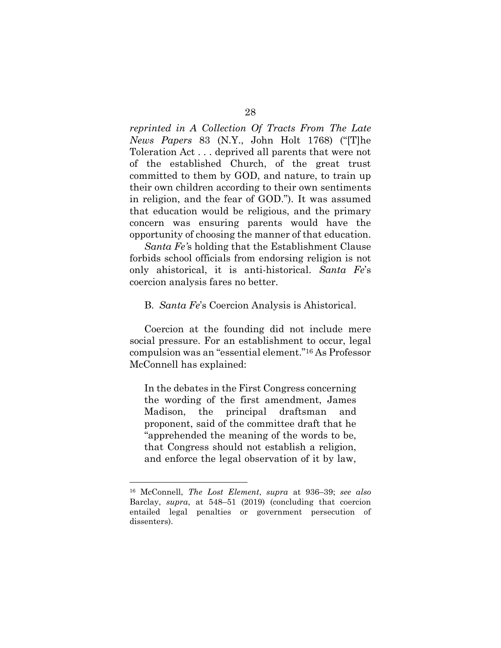*reprinted in A Collection Of Tracts From The Late News Papers* 83 (N.Y., John Holt 1768) ("[T]he Toleration Act . . . deprived all parents that were not of the established Church, of the great trust committed to them by GOD, and nature, to train up their own children according to their own sentiments in religion, and the fear of GOD."). It was assumed that education would be religious, and the primary concern was ensuring parents would have the opportunity of choosing the manner of that education.

*Santa Fe'*s holding that the Establishment Clause forbids school officials from endorsing religion is not only ahistorical, it is anti-historical. *Santa Fe*'s coercion analysis fares no better.

#### <span id="page-41-0"></span>B. *Santa Fe*'s Coercion Analysis is Ahistorical.

Coercion at the founding did not include mere social pressure. For an establishment to occur, legal compulsion was an "essential element."<sup>16</sup> As Professor McConnell has explained:

In the debates in the First Congress concerning the wording of the first amendment, James Madison, the principal draftsman and proponent, said of the committee draft that he "apprehended the meaning of the words to be, that Congress should not establish a religion, and enforce the legal observation of it by law,

<sup>16</sup> McConnell, *The Lost Element*, *supra* at 936–39; *see also* Barclay, *supra*, at 548–51 (2019) (concluding that coercion entailed legal penalties or government persecution of dissenters).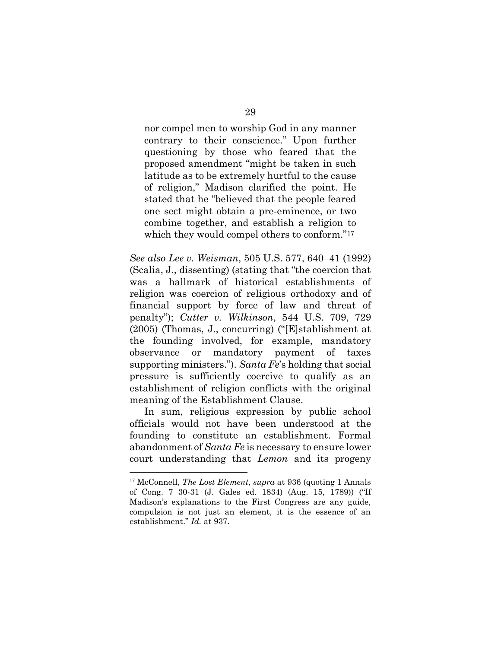nor compel men to worship God in any manner contrary to their conscience." Upon further questioning by those who feared that the proposed amendment "might be taken in such latitude as to be extremely hurtful to the cause of religion," Madison clarified the point. He stated that he "believed that the people feared one sect might obtain a pre-eminence, or two combine together, and establish a religion to which they would compel others to conform."<sup>17</sup>

*See also Lee v. Weisman*, 505 U.S. 577, 640–41 (1992) (Scalia, J., dissenting) (stating that "the coercion that was a hallmark of historical establishments of religion was coercion of religious orthodoxy and of financial support by force of law and threat of penalty"); *Cutter v. Wilkinson*, 544 U.S. 709, 729 (2005) (Thomas, J., concurring) ("[E]stablishment at the founding involved, for example, mandatory observance or mandatory payment of taxes supporting ministers."). *Santa Fe*'s holding that social pressure is sufficiently coercive to qualify as an establishment of religion conflicts with the original meaning of the Establishment Clause.

In sum, religious expression by public school officials would not have been understood at the founding to constitute an establishment. Formal abandonment of *Santa Fe* is necessary to ensure lower court understanding that *Lemon* and its progeny

<sup>17</sup> McConnell, *The Lost Element*, *supra* at 936 (quoting 1 Annals of Cong. 7 30-31 (J. Gales ed. 1834) (Aug. 15, 1789)) ("If Madison's explanations to the First Congress are any guide, compulsion is not just an element, it is the essence of an establishment." *Id.* at 937.